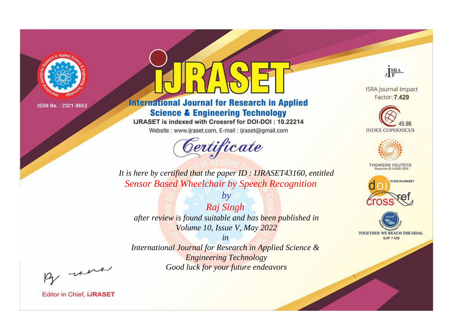

# **International Journal for Research in Applied Science & Engineering Technology**

IJRASET is indexed with Crossref for DOI-DOI: 10.22214

Website: www.ijraset.com, E-mail: ijraset@gmail.com



JERA

**ISRA Journal Impact** Factor: 7.429





**THOMSON REUTERS** 



TOGETHER WE REACH THE GOAL **SJIF 7.429** 

*It is here by certified that the paper ID : IJRASET43160, entitled Sensor Based Wheelchair by Speech Recognition*

*Raj Singh after review is found suitable and has been published in Volume 10, Issue V, May 2022*

*by*

*in* 

*International Journal for Research in Applied Science & Engineering Technology Good luck for your future endeavors*

By morn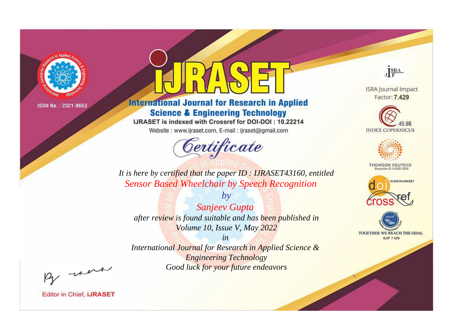

# **International Journal for Research in Applied Science & Engineering Technology**

IJRASET is indexed with Crossref for DOI-DOI: 10.22214

Website: www.ijraset.com, E-mail: ijraset@gmail.com



JERA

**ISRA Journal Impact** Factor: 7.429





**THOMSON REUTERS** 



TOGETHER WE REACH THE GOAL **SJIF 7.429** 

It is here by certified that the paper ID: IJRASET43160, entitled **Sensor Based Wheelchair by Speech Recognition** 

Sanjeev Gupta after review is found suitable and has been published in Volume 10, Issue V, May 2022

 $b\nu$ 

 $in$ International Journal for Research in Applied Science & **Engineering Technology** Good luck for your future endeavors

By morn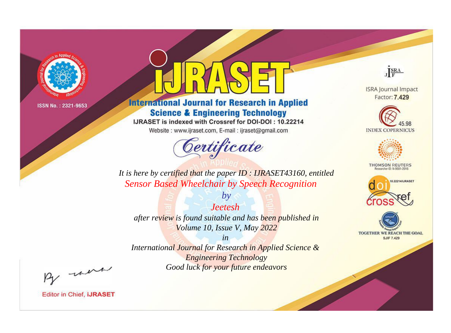

# **International Journal for Research in Applied Science & Engineering Technology**

IJRASET is indexed with Crossref for DOI-DOI: 10.22214

Website: www.ijraset.com, E-mail: ijraset@gmail.com



JERA

**ISRA Journal Impact** Factor: 7.429





**THOMSON REUTERS** 



TOGETHER WE REACH THE GOAL **SJIF 7.429** 

*It is here by certified that the paper ID : IJRASET43160, entitled Sensor Based Wheelchair by Speech Recognition*

*Jeetesh after review is found suitable and has been published in Volume 10, Issue V, May 2022*

*by*

*in* 

*International Journal for Research in Applied Science & Engineering Technology Good luck for your future endeavors*

By morn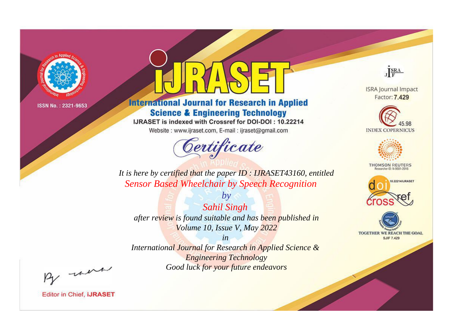

# **International Journal for Research in Applied Science & Engineering Technology**

IJRASET is indexed with Crossref for DOI-DOI: 10.22214

Website: www.ijraset.com, E-mail: ijraset@gmail.com



JERA

**ISRA Journal Impact** Factor: 7.429





**THOMSON REUTERS** 



TOGETHER WE REACH THE GOAL **SJIF 7.429** 

It is here by certified that the paper ID: IJRASET43160, entitled **Sensor Based Wheelchair by Speech Recognition** 

**Sahil Singh** after review is found suitable and has been published in Volume 10, Issue V, May 2022

 $by$ 

 $in$ International Journal for Research in Applied Science & **Engineering Technology** Good luck for your future endeavors

By morn